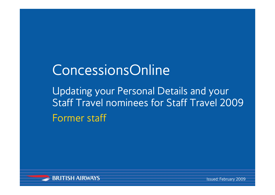# ConcessionsOnline

Updating your Personal Details and your Staff Travel nominees for Staff Travel 2009Former staff

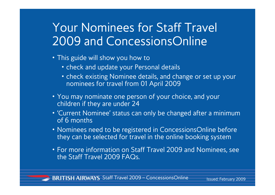# Your Nominees for Staff Travel 2009 and ConcessionsOnline

- This guide will show you how to
	- check and update your Personal details
	- check existing Nominee details, and change or set up your nominees for travel from 01 April 2009
- You may nominate one person of your choice, and your children if they are under 24
- 'Current Nominee' status can only be changed after a minimum of 6 months
- Nominees need to be registered in ConcessionsOnline before they can be selected for travel in the online booking system
- For more information on Staff Travel 2009 and Nominees, see the Staff Travel 2009 FAQs.

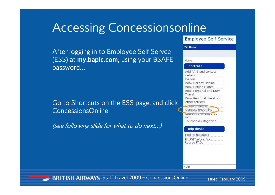### Accessing Concessionsonline

After logging in to Employee Self Servce (ESS) at **my.baplc.com,** using your BSAFE password…

Go to Shortcuts on the ESS page, and click ConcessionsOnline

(see following slide for what to do next…)

### **Employee Self Service**

### **FSS Home** Home **Shortcuts** Add APIS and contact details ba.com Book Holiday Hotline **Book Hotline Flights** Book Personal and Duty Travel Book Personal travel on other carriers Check in unline ConcessionsOnline Latest travel embargo info Touchdown Magazine **Help desks** Hotline helpdesk Im Service Centre Retiree FAQs

Help

**BRITISH AIRWAYS** Staff Travel 2009 - ConcessionsOnline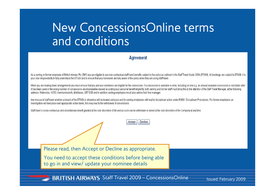# New ConcessionsOnline terms and conditions

### **Agreement**

As a serving or former employee of British Airways Plc ("BA") you are eligible to use non-contractual staff travel benefits subject to the policy as outlined in the Staff Travel Guide 2009 (STG09). All bookings are subject vour sole responsibility to fully understand the STG09 and to ensure that your nominees are fully aware of the policy when they are using staff travel.

When you are making travel arrangements you must ensure that you and your nominees are eligible for the concession. If a concession is available in error, including on-line e.g. an annual bookable concession is reinstated it has been used or the wrong number of concessions are displayed/accessed according your personal benefit eligibility, both serving and former staff must bring this to the attention of the Staff Travel Manager, at the fol address: Waterside, HCB3, Harmondsworth, Middlesex, UB7 OGB and in addition serving employees must also advise their line manager.

Decline

Any misuse of staff travel whether a breach of the STG09 or otherwise will be treated seriously and for serving employees will lead to disciplinary action under EG901 Disciplinary Procedures. For former employees an investigation will take place and appropriate action taken, this may lead to the withdrawal of concessions.

Accept

Staff travel is a non-contractual and discretionary benefit granted at the sole discretion of BA and as such can be withdrawn or varied at the sole discretion of the Company at any time.

Please read, then Accept or Decline as appropriate.

You need to accept these conditions before being able to go in and view/ update your nominee details

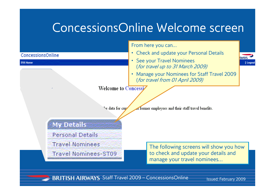### ConcessionsOnline Welcome screen



**BRITISH AIRWAYS** Staff Travel 2009 - ConcessionsOnline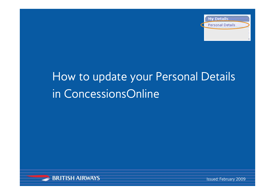

# How to update your Personal Details in ConcessionsOnline

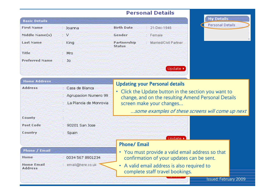|                       |                        |                                     | <b>Personal Details</b>                              |                                                  |
|-----------------------|------------------------|-------------------------------------|------------------------------------------------------|--------------------------------------------------|
| <b>Basic Details</b>  |                        |                                     |                                                      | <b>My Details</b>                                |
| <b>First Name</b>     | Joanna                 | <b>Birth Date</b>                   | $: 21 - Dec - 1946$                                  | Personal Details                                 |
| Middle Name(s)        | - 33                   | Gender                              | Female                                               |                                                  |
| <b>Last Name</b>      | King                   | <b>Partnership</b><br><b>Status</b> | Married/Civil Partner                                |                                                  |
| <b>Title</b>          | Mrs                    |                                     |                                                      |                                                  |
| <b>Preferred Name</b> | ∵ Jo                   |                                     |                                                      |                                                  |
|                       |                        |                                     | (Update ▶                                            |                                                  |
| <b>Home Address</b>   |                        |                                     | <b>Updating your Personal details</b>                |                                                  |
| <b>Address</b>        | : Casa de Blanca       |                                     | • Click the Update button in the section you want to |                                                  |
|                       | Agrupacion Numero 99   |                                     | change, and on the resulting Amend Personal Details  |                                                  |
|                       | La Plancia de Monrovia |                                     | screen make your changes                             |                                                  |
|                       |                        |                                     |                                                      | some examples of these screens will come up next |
| County                |                        |                                     |                                                      |                                                  |

#### **Phone / Email**

**Post Code** 

Country

| <b>Home</b>                         | 0034 567 8901234 |
|-------------------------------------|------------------|
| <b>Home Email</b><br><b>Address</b> | email@here.co.uk |

: Spain

: 90201 San Jose

### **Phone/ Email**

Staff Travel 2009 – ConcessionsOnline

• You must provide a valid email address so that confirmation of your updates can be sent.

Undate >

• A valid email address is also required to complete staff travel bookings.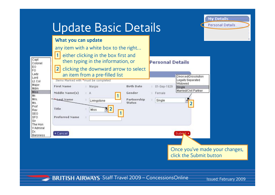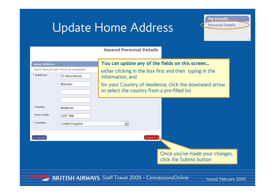# Update Home Address



### **Amend Personal Details**

| <b>Home Address</b>              | Items Marked with *must be completed    | You can update any of the fields on this screen                                                                                                                                        |
|----------------------------------|-----------------------------------------|----------------------------------------------------------------------------------------------------------------------------------------------------------------------------------------|
| * Address                        | 57 Heinz Avenue<br><b>Branston</b>      | either clicking in the box first and then typing in the<br>information, and<br>for your Country of residence, click the downward arrow<br>to select the country from a pre-filled list |
| County<br>Post Code<br>* Country | Middlesex<br>HZ57 2BB<br>United Kingdom | ٧                                                                                                                                                                                      |
| Cancel                           |                                         | Submit $\sim$<br>Once you've made your changes,                                                                                                                                        |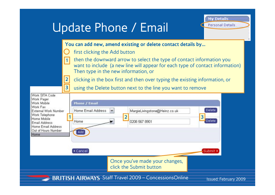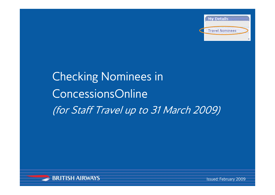

# Checking Nominees in ConcessionsOnline(for Staff Travel up to 31 March 2009)

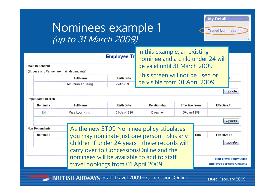### Nominees example 1 (up to 31 March 2009)



| <b>Main Dependant</b><br>(Spouse and Partner are main dependants) |                              | <b>Full Name</b><br>Mr Duncan King                                               | Employee Tr<br><b>Birth Date</b><br>25-Apr-1938 | In this example, an existing<br>nominee and a child under 24 will<br>be valid until 31 March 2009<br>This screen will not be used or<br>be visible from 01 April 2009 |                       | To.                                                                   |  |  |  |
|-------------------------------------------------------------------|------------------------------|----------------------------------------------------------------------------------|-------------------------------------------------|-----------------------------------------------------------------------------------------------------------------------------------------------------------------------|-----------------------|-----------------------------------------------------------------------|--|--|--|
|                                                                   |                              |                                                                                  |                                                 |                                                                                                                                                                       |                       |                                                                       |  |  |  |
| Dependant Children<br><b>Nominate</b>                             |                              | <b>Full Name</b>                                                                 | <b>Birth Date</b>                               | Relationship                                                                                                                                                          | <b>Effective From</b> | <b>Effective To</b>                                                   |  |  |  |
| M                                                                 | Miss Lou King<br>01-Jan-1986 |                                                                                  |                                                 | Daughter                                                                                                                                                              | 09-Jan-1986           |                                                                       |  |  |  |
|                                                                   |                              |                                                                                  |                                                 |                                                                                                                                                                       |                       | Update                                                                |  |  |  |
| Non-Dependants                                                    |                              | As the new ST09 Nominee policy stipulates                                        |                                                 |                                                                                                                                                                       |                       |                                                                       |  |  |  |
| Nominate                                                          |                              | you may nominate just one person - plus any                                      |                                                 |                                                                                                                                                                       | <b>From</b>           | <b>Effective To</b>                                                   |  |  |  |
|                                                                   |                              | children if under 24 years - these records will                                  |                                                 |                                                                                                                                                                       |                       | Update                                                                |  |  |  |
|                                                                   |                              | carry over to ConcessionsOnline and the                                          |                                                 |                                                                                                                                                                       |                       |                                                                       |  |  |  |
|                                                                   |                              | nominees will be available to add to staff<br>travel bookings from 01 April 2009 |                                                 |                                                                                                                                                                       |                       | <b>Staff Travel Policy Guide</b><br><b>Employee Services Contacts</b> |  |  |  |

**Participate**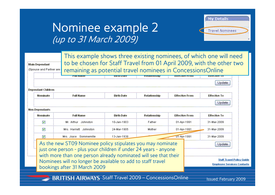### Nominee example 2 (up to 31 March 2009)

**Main Dependant** 

(Spouse and Partner are



This example shows three existing nominees, of which one will need to be chosen for Staff Travel from 01 April 2009, with the other two remaining as potential travel nominees in ConcessionsOnline

|                         | <b>Full Name</b>                                                                                                                                                                                                                                                                                |                   |              |                       |                                                                                 |
|-------------------------|-------------------------------------------------------------------------------------------------------------------------------------------------------------------------------------------------------------------------------------------------------------------------------------------------|-------------------|--------------|-----------------------|---------------------------------------------------------------------------------|
| <b>Nominate</b>         |                                                                                                                                                                                                                                                                                                 | <b>Birth Date</b> | Relationship | <b>Effective From</b> | <b>Effective To</b>                                                             |
|                         |                                                                                                                                                                                                                                                                                                 |                   |              |                       | Update                                                                          |
| Non-Dependants          |                                                                                                                                                                                                                                                                                                 |                   |              |                       |                                                                                 |
| Nominate                | <b>Full Name</b>                                                                                                                                                                                                                                                                                | <b>Birth Date</b> | Relationship | <b>Effective From</b> | <b>Effective To</b>                                                             |
| M                       | Mr. Arthur Johnston                                                                                                                                                                                                                                                                             | 10-Jan-1903       | Father       | 01-Apr-1991           | 31-Mar-2009                                                                     |
| $\overline{\mathbf{v}}$ | Mrs. Harriett Johnston                                                                                                                                                                                                                                                                          | 24-Mar-1905       | Mother       | 01-Apr-1991           | 31-Mar-2009                                                                     |
| M                       | Mrs. Joyce Sommerville                                                                                                                                                                                                                                                                          | 13-Jan-1938       |              | U1-Apr-1991           | 31-Mar-2009                                                                     |
|                         | As the new ST09 Nominee policy stipulates you may nominate<br>just one person - plus your children if under 24 years - anyone<br>with more than one person already nominated will see that their<br>Nominees will no longer be available to add to staff travel<br>bookings after 31 March 2009 |                   |              |                       | Update<br><b>Staff Travel Policy Guide</b><br><b>Employee Services Contacts</b> |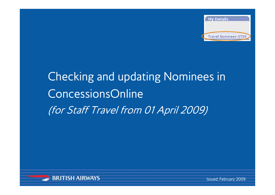

# Checking and updating Nominees in ConcessionsOnline(for Staff Travel from 01 April 2009)

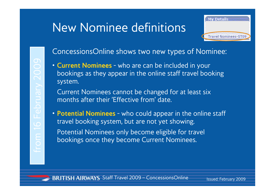## New Nominee definitions



### ConcessionsOnline shows two new types of Nominee:

- **Current Nominees** who are can be included in your bookings as they appear in the online staff travel booking system.
	- Current Nominees cannot be changed for at least six months after their 'Effective from' date.
- **Potential Nominees** who could appear in the online staff travel booking system, but are not yet showing. Potential Nominees only become eligible for travel bookings once they become Current Nominees.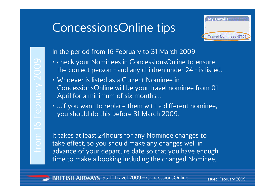# ConcessionsOnline tips



### In the period from 16 February to 31 March 2009

- check your Nominees in ConcessionsOnline to ensure the correct person - and any children under 24 - is listed.
- Whoever is listed as a Current Nominee in ConcessionsOnline will be your travel nominee from 01 April for a minimum of six months… From 16 February 2009 It the correct person - and any children under 24 - is listed<br>
It Whoever is listed as a Current Nominee in<br>
ConcessionsOnline will be your travel nominee from 01<br>
April for a minimum of six months...
	- …if you want to replace them with a different nominee, you should do this before 31 March 2009.

time to make a booking including the changed Nominee.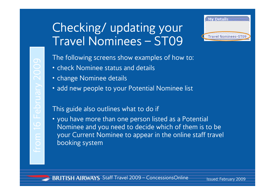# Checking/ updating your Travel Nominees – ST09



The following screens show examples of how to:

- check Nominee status and details
- change Nominee details
- add new people to your Potential Nominee list

### This guide also outlines what to do if

• you have more than one person listed as a Potential Nominee and you need to decide which of them is to be your Current Nominee to appear in the online staff travel booking system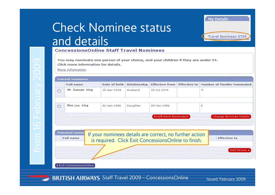## Check Nominee status and details



### **ConcessionsOnline Staff Travel Nominees**

|                        |   | <b>Effective to Number of Months Nominated</b> | <b>Effective from</b> | <b>Relationship</b> | Date of birth | <b>Full name</b> |   |
|------------------------|---|------------------------------------------------|-----------------------|---------------------|---------------|------------------|---|
|                        | 0 |                                                | 20-Jul-1974           | Husband             | 25-Apr-1938   | Mr Duncan King   | ⊙ |
|                        |   |                                                |                       |                     |               |                  |   |
|                        | n |                                                | 09-Jan-1986           | Daughter            | 01-Jan-1986   | Miss Lou King    | O |
|                        |   |                                                |                       |                     |               |                  |   |
| Change Nominee Details |   |                                                | End/Extend Nomination |                     |               |                  |   |
|                        |   |                                                |                       |                     |               |                  |   |
|                        |   |                                                |                       |                     |               |                  |   |

◀ Exit ConcessionsOnline

BRITISH AIRWAYS Staff Travel 2009 - ConcessionsOnline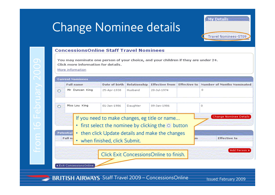### Change Nominee details



### **ConcessionsOnline Staff Travel Nominees**

You may nominate one person of your choice, and your children if they are under 24. Click more information for details.

More information

O

#### **Current Nominees Full name** Date of birth **Relationship** Effective from Effective to Number of Months Nominated Mr Duncan King 25-Apr-1938 Husband 20-Jul-1974  $\Box$  $\circ$ Miss Lou King 01-Jan-1986 Daughter 09-Jan-1986  $\Omega$  $\circ$ Change Nominee Details If you need to make changes, eg title or name… • first select the nominee by clicking the  $\circlearrowright$  button **Potential** • then click Update details and make the changes Full n **Effective to** m. • when finished, click Submit. Add Person ) Click Exit ConcessionsOnline to finish. **4 Exit ConcessionsOnline**

**BRITISH AIRWAYS** Staff Travel 2009 - ConcessionsOnline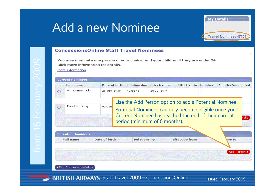### Add a new Nominee



### **ConcessionsOnline Staff Travel Nominees**

|         | <b>Full name</b> |                          | Date of birth | <b>Relationship</b> |                               | Effective from Effective to Number of Months Nominated                                                                                                                 |
|---------|------------------|--------------------------|---------------|---------------------|-------------------------------|------------------------------------------------------------------------------------------------------------------------------------------------------------------------|
| ⊙       | Mr Duncan King   | 25-Apr-1938              |               | Husband             | 20-Jul-1974                   | 0.                                                                                                                                                                     |
| $\circ$ | Miss Lou King    | $01-$ Jan $\overline{ }$ |               |                     | period (minimum of 6 months). | Use the Add Person option to add a Potential Nominee.<br>Potential Nominees can only become eligible once your<br>Current Nominee has reached the end of their current |

| <b>Full name</b> | Date of birth | <b>Relationship</b> | <b>Effective from</b> | <b>live</b> to |
|------------------|---------------|---------------------|-----------------------|----------------|
|                  |               |                     |                       |                |
|                  |               |                     |                       |                |
|                  |               |                     |                       | Add Person >   |

BRITISH AIRWAYS Staff Travel 2009 - ConcessionsOnline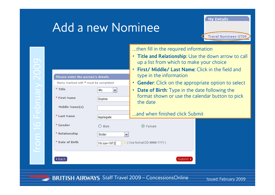### Add a new Nominee



**Service** 

|                                       |                     | then fill in the required information                                                            |  |
|---------------------------------------|---------------------|--------------------------------------------------------------------------------------------------|--|
|                                       |                     | • Title and Relationship: Use the down arrow to call<br>up a list from which to make your choice |  |
|                                       |                     | First/ Middle/ Last Name: Click in the field and<br>$\bullet$                                    |  |
| Please enter the person's details     |                     | type in the information                                                                          |  |
| Items marked with * must be completed |                     | <b>Gender:</b> Click on the appropriate option to select<br>$\bullet$                            |  |
| * Title                               | Ms.<br>$\checkmark$ | <b>Date of Birth:</b> Type in the date following the<br>$\bullet$                                |  |
| * First Name                          | Sophie              | format shown or use the calendar button to pick<br>the date                                      |  |
| Middle Name(s)                        |                     |                                                                                                  |  |
| * Last Name                           | Applegate           | and when finished click Submit                                                                   |  |
| * Gender                              | $\bigcirc$<br>Male  | $\odot$ Female                                                                                   |  |
| * Relationship                        | Sister<br>v         |                                                                                                  |  |
| * Date of Birth                       | 10-Jun-1972         | (Use format DD-MMM-YYYY)                                                                         |  |
| ∣∢ Back                               |                     | Submit >                                                                                         |  |

BRITISH AIRWAYS Staff Travel 2009 - ConcessionsOnline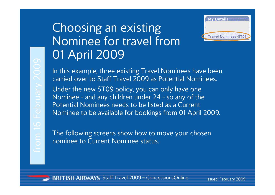# Choosing an existing Nominee for travel from 01 April 2009



In this example, three existing Travel Nominees have been carried over to Staff Travel 2009 as Potential Nominees. Under the new ST09 policy, you can only have one Nominee - and any children under 24 - so any of the Potential Nominees needs to be listed as a Current Nominee to be available for bookings from 01 April 2009.

The following screens show how to move your chosen nominee to Current Nominee status.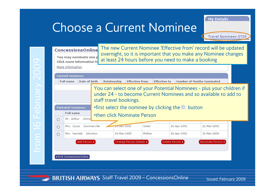**My Details:** 

**Travel Nominees-ST09** 

The new Current Nominee 'Effective from' record will be updated **ConcessionsOnline** overnight, so it is important that you make any Nominee changes at least 24 hours before you need to make a bookingContent Nomines Marie information for all the distribution of the distribution of the distribution of the distribution of the distribution of the distribution of the distribution of the distribution of the distribution of ◀ Exit ConcessionsOnline

**BRITISH AIRWAYS** Staff Travel 2009 - ConcessionsOnline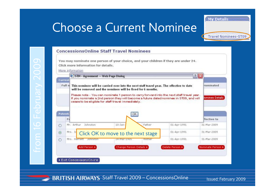**Travel Nominees-ST09** 

**My Details** 

### **ConcessionsOnline Staff Travel Nominees** From 16 February 16 February 16 February 16 February 16 February 2009 Current Control of the next star and your child<br>
Eliot More information<br>
Eliot Current Control of the next star and the next star and the next star and  $?$   $\times$ Nominated ominee Details **fective** to 01-Apr-1991 31-Mar-2009 01-Apr-1991 31-Mar-2009 01-Apr-1991 31-Mar-2009 Delete Person » Nominate Person » 4 Exit Concessions Crime

**BRITISH AIRWAYS** Staff Travel 2009 – ConcessionsOnline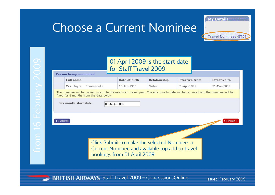**Travel Nominees-ST09** 

**My Details** 

|  |          |                                         |             |             | for Staff Travel 2009       | 01 April 2009 is the start date                                                                |                                                                                                                                 |                     |
|--|----------|-----------------------------------------|-------------|-------------|-----------------------------|------------------------------------------------------------------------------------------------|---------------------------------------------------------------------------------------------------------------------------------|---------------------|
|  |          | <b>Person being nominated</b>           |             |             |                             |                                                                                                |                                                                                                                                 |                     |
|  |          | <b>Full name</b>                        |             |             | Date of birth               | Relationship                                                                                   | <b>Effective from</b>                                                                                                           | <b>Effective to</b> |
|  |          | Mrs. Joyce                              | Sommerville |             | 13-Jan-1938                 | Sister                                                                                         | 01-Apr-1991                                                                                                                     | 31-Mar-2009         |
|  |          | fixed for 6 months from the date below. |             |             |                             |                                                                                                | The nominee will be carried over into the next staff travel year. The effective to date will be removed and the nominee will be |                     |
|  |          | Six month start date                    |             | 01-APR-2009 |                             |                                                                                                |                                                                                                                                 |                     |
|  | ◀ Cancel |                                         |             |             |                             |                                                                                                |                                                                                                                                 | <b>Submit</b>       |
|  |          |                                         |             |             |                             |                                                                                                |                                                                                                                                 |                     |
|  |          |                                         |             |             | bookings from 01 April 2009 | Click Submit to make the selected Nominee a<br>Current Nominee and available top add to travel |                                                                                                                                 |                     |
|  |          |                                         |             |             |                             |                                                                                                |                                                                                                                                 |                     |

BRITISH AIRWAYS Staff Travel 2009 - ConcessionsOnline

**Septim**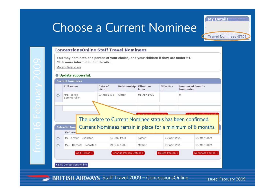#### **ConcessionsOnline Staff Travel Nominees**



BRITISH AIRWAYS Staff Travel 2009 - ConcessionsOnline

**My Details** 

**Travel Nominees-ST09**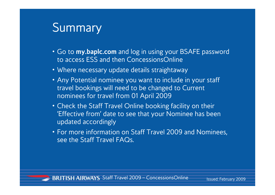### **Summary**

- Go to **my.baplc.com** and log in using your BSAFE password to access ESS and then ConcessionsOnline
- Where necessary update details straightaway
- Any Potential nominee you want to include in your staff travel bookings will need to be changed to Current nominees for travel from 01 April 2009
- Check the Staff Travel Online booking facility on their 'Effective from' date to see that your Nominee has been updated accordingly
- For more information on Staff Travel 2009 and Nominees, see the Staff Travel FAQs.